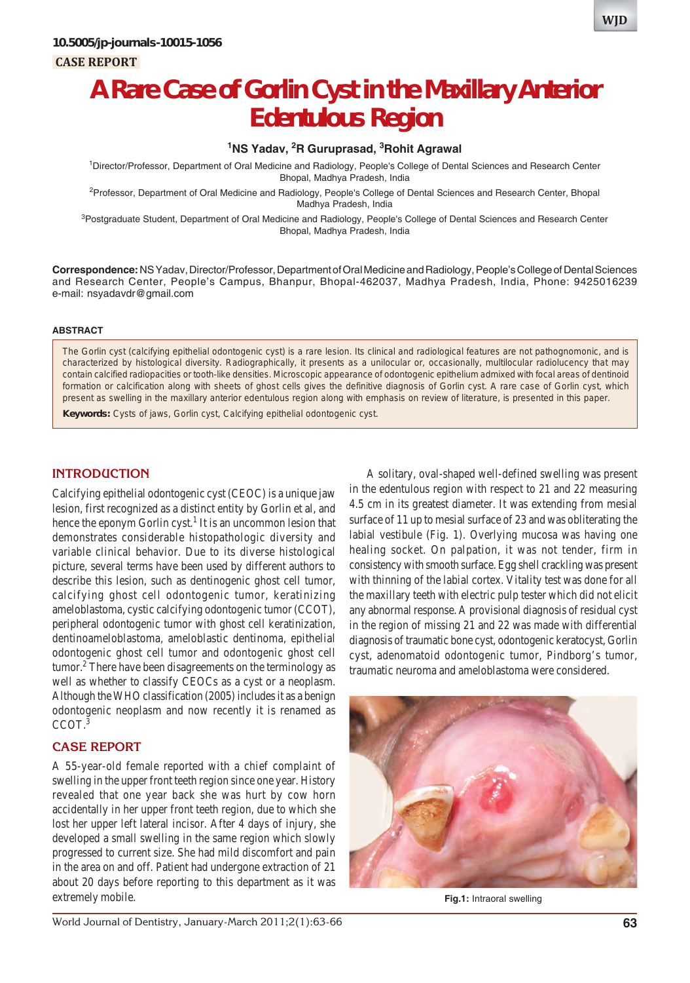

# **A Rare Case of Gorlin Cyst in the Maxillary Anterior Edentulous Region**

# **1 NS Yadav, 2 R Guruprasad, 3 Rohit Agrawal**

1 Director/Professor, Department of Oral Medicine and Radiology, People's College of Dental Sciences and Research Center Bhopal, Madhya Pradesh, India

<sup>2</sup>Professor, Department of Oral Medicine and Radiology, People's College of Dental Sciences and Research Center, Bhopal Madhya Pradesh, India

<sup>3</sup>Postgraduate Student, Department of Oral Medicine and Radiology, People's College of Dental Sciences and Research Center Bhopal, Madhya Pradesh, India

**Correspondence:** NS Yadav, Director/Professor, Department of Oral Medicine and Radiology, People's College of Dental Sciences and Research Center, People's Campus, Bhanpur, Bhopal-462037, Madhya Pradesh, India, Phone: 9425016239 e-mail: nsyadavdr@gmail.com

#### **ABSTRACT**

The Gorlin cyst (calcifying epithelial odontogenic cyst) is a rare lesion. Its clinical and radiological features are not pathognomonic, and is characterized by histological diversity. Radiographically, it presents as a unilocular or, occasionally, multilocular radiolucency that may contain calcified radiopacities or tooth-like densities. Microscopic appearance of odontogenic epithelium admixed with focal areas of dentinoid formation or calcification along with sheets of ghost cells gives the definitive diagnosis of Gorlin cyst. A rare case of Gorlin cyst, which present as swelling in the maxillary anterior edentulous region along with emphasis on review of literature, is presented in this paper.

**Keywords:** Cysts of jaws, Gorlin cyst, Calcifying epithelial odontogenic cyst.

## **INTRODUCTION**

Calcifying epithelial odontogenic cyst (CEOC) is a unique jaw lesion, first recognized as a distinct entity by Gorlin et al, and hence the eponym Gorlin cyst.<sup>1</sup> It is an uncommon lesion that demonstrates considerable histopathologic diversity and variable clinical behavior. Due to its diverse histological picture, several terms have been used by different authors to describe this lesion, such as dentinogenic ghost cell tumor, calcifying ghost cell odontogenic tumor, keratinizing ameloblastoma, cystic calcifying odontogenic tumor (CCOT), peripheral odontogenic tumor with ghost cell keratinization, dentinoameloblastoma, ameloblastic dentinoma, epithelial odontogenic ghost cell tumor and odontogenic ghost cell tumor.<sup>2</sup> There have been disagreements on the terminology as well as whether to classify CEOCs as a cyst or a neoplasm. Although the WHO classification (2005) includes it as a benign odontogenic neoplasm and now recently it is renamed as CCOT.3

# **CASE REPORT**

A 55-year-old female reported with a chief complaint of swelling in the upper front teeth region since one year. History revealed that one year back she was hurt by cow horn accidentally in her upper front teeth region, due to which she lost her upper left lateral incisor. After 4 days of injury, she developed a small swelling in the same region which slowly progressed to current size. She had mild discomfort and pain in the area on and off. Patient had undergone extraction of 21 about 20 days before reporting to this department as it was extremely mobile.

A solitary, oval-shaped well-defined swelling was present in the edentulous region with respect to 21 and 22 measuring 4.5 cm in its greatest diameter. It was extending from mesial surface of 11 up to mesial surface of 23 and was obliterating the labial vestibule (Fig. 1). Overlying mucosa was having one healing socket. On palpation, it was not tender, firm in consistency with smooth surface. Egg shell crackling was present with thinning of the labial cortex. Vitality test was done for all the maxillary teeth with electric pulp tester which did not elicit any abnormal response. A provisional diagnosis of residual cyst in the region of missing 21 and 22 was made with differential diagnosis of traumatic bone cyst, odontogenic keratocyst, Gorlin cyst, adenomatoid odontogenic tumor, Pindborg's tumor, traumatic neuroma and ameloblastoma were considered.



**Fig.1:** Intraoral swelling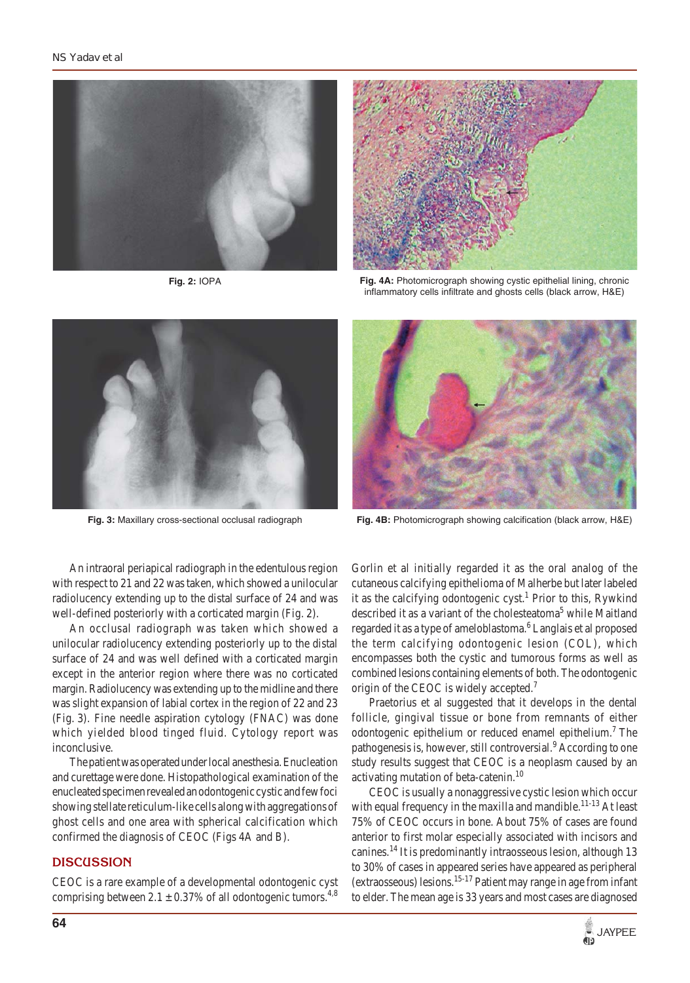

**Fig. 2:** IOPA



**Fig. 4A:** Photomicrograph showing cystic epithelial lining, chronic inflammatory cells infiltrate and ghosts cells (black arrow, H&E)



**Fig. 3:** Maxillary cross-sectional occlusal radiograph



**Fig. 4B:** Photomicrograph showing calcification (black arrow, H&E)

An intraoral periapical radiograph in the edentulous region with respect to 21 and 22 was taken, which showed a unilocular radiolucency extending up to the distal surface of 24 and was well-defined posteriorly with a corticated margin (Fig. 2).

An occlusal radiograph was taken which showed a unilocular radiolucency extending posteriorly up to the distal surface of 24 and was well defined with a corticated margin except in the anterior region where there was no corticated margin. Radiolucency was extending up to the midline and there was slight expansion of labial cortex in the region of 22 and 23 (Fig. 3). Fine needle aspiration cytology (FNAC) was done which yielded blood tinged fluid. Cytology report was inconclusive.

The patient was operated under local anesthesia. Enucleation and curettage were done. Histopathological examination of the enucleated specimen revealed an odontogenic cystic and few foci showing stellate reticulum-like cells along with aggregations of ghost cells and one area with spherical calcification which confirmed the diagnosis of CEOC (Figs 4A and B).

## **DISCUSSION**

CEOC is a rare example of a developmental odontogenic cyst comprising between  $2.1 \pm 0.37\%$  of all odontogenic tumors.<sup>4,8</sup> Gorlin et al initially regarded it as the oral analog of the cutaneous calcifying epithelioma of Malherbe but later labeled it as the calcifying odontogenic cyst.<sup>1</sup> Prior to this, Rywkind described it as a variant of the cholesteatoma<sup>5</sup> while Maitland regarded it as a type of ameloblastoma.<sup>6</sup> Langlais et al proposed the term calcifying odontogenic lesion (COL), which encompasses both the cystic and tumorous forms as well as combined lesions containing elements of both. The odontogenic origin of the CEOC is widely accepted.<sup>7</sup>

Praetorius et al suggested that it develops in the dental follicle, gingival tissue or bone from remnants of either odontogenic epithelium or reduced enamel epithelium.<sup>7</sup> The pathogenesis is, however, still controversial.<sup>9</sup> According to one study results suggest that CEOC is a neoplasm caused by an activating mutation of beta-catenin.10

CEOC is usually a nonaggressive cystic lesion which occur with equal frequency in the maxilla and mandible.<sup>11-13</sup> At least 75% of CEOC occurs in bone. About 75% of cases are found anterior to first molar especially associated with incisors and canines.14 It is predominantly intraosseous lesion, although 13 to 30% of cases in appeared series have appeared as peripheral (extraosseous) lesions.<sup>15-17</sup> Patient may range in age from infant to elder. The mean age is 33 years and most cases are diagnosed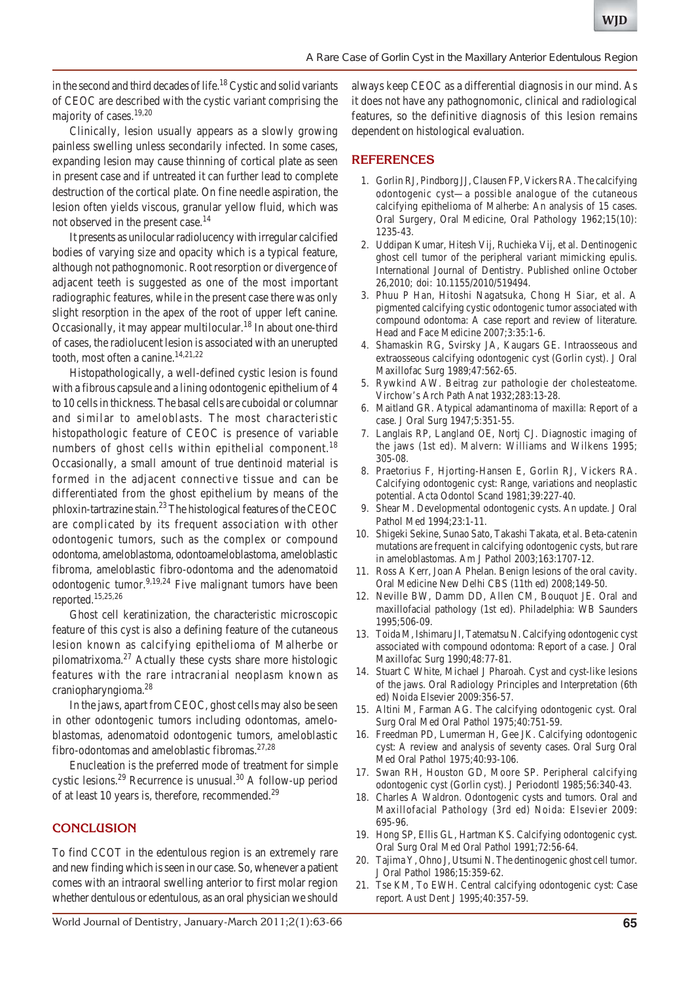in the second and third decades of life.<sup>18</sup> Cystic and solid variants of CEOC are described with the cystic variant comprising the majority of cases.19,20

Clinically, lesion usually appears as a slowly growing painless swelling unless secondarily infected. In some cases, expanding lesion may cause thinning of cortical plate as seen in present case and if untreated it can further lead to complete destruction of the cortical plate. On fine needle aspiration, the lesion often yields viscous, granular yellow fluid, which was not observed in the present case.<sup>14</sup>

It presents as unilocular radiolucency with irregular calcified bodies of varying size and opacity which is a typical feature, although not pathognomonic. Root resorption or divergence of adjacent teeth is suggested as one of the most important radiographic features, while in the present case there was only slight resorption in the apex of the root of upper left canine. Occasionally, it may appear multilocular.<sup>18</sup> In about one-third of cases, the radiolucent lesion is associated with an unerupted tooth, most often a canine.<sup>14,21,22</sup>

Histopathologically, a well-defined cystic lesion is found with a fibrous capsule and a lining odontogenic epithelium of 4 to 10 cells in thickness. The basal cells are cuboidal or columnar and similar to ameloblasts. The most characteristic histopathologic feature of CEOC is presence of variable numbers of ghost cells within epithelial component.<sup>18</sup> Occasionally, a small amount of true dentinoid material is formed in the adjacent connective tissue and can be differentiated from the ghost epithelium by means of the phloxin-tartrazine stain.23 The histological features of the CEOC are complicated by its frequent association with other odontogenic tumors, such as the complex or compound odontoma, ameloblastoma, odontoameloblastoma, ameloblastic fibroma, ameloblastic fibro-odontoma and the adenomatoid odontogenic tumor.<sup>9,19,24</sup> Five malignant tumors have been reported.15,25,26

Ghost cell keratinization, the characteristic microscopic feature of this cyst is also a defining feature of the cutaneous lesion known as calcifying epithelioma of Malherbe or pilomatrixoma.27 Actually these cysts share more histologic features with the rare intracranial neoplasm known as craniopharyngioma.28

In the jaws, apart from CEOC, ghost cells may also be seen in other odontogenic tumors including odontomas, ameloblastomas, adenomatoid odontogenic tumors, ameloblastic fibro-odontomas and ameloblastic fibromas. $27,28$ 

Enucleation is the preferred mode of treatment for simple cystic lesions.<sup>29</sup> Recurrence is unusual.<sup>30</sup> A follow-up period of at least 10 years is, therefore, recommended.<sup>29</sup>

## **CONCLUSION**

To find CCOT in the edentulous region is an extremely rare and new finding which is seen in our case. So, whenever a patient comes with an intraoral swelling anterior to first molar region whether dentulous or edentulous, as an oral physician we should

always keep CEOC as a differential diagnosis in our mind. As it does not have any pathognomonic, clinical and radiological features, so the definitive diagnosis of this lesion remains dependent on histological evaluation.

# **REFERENCES**

- 1. Gorlin RJ, Pindborg JJ, Clausen FP, Vickers RA. The calcifying odontogenic cyst—a possible analogue of the cutaneous calcifying epithelioma of Malherbe: An analysis of 15 cases. Oral Surgery, Oral Medicine, Oral Pathology 1962;15(10): 1235-43.
- 2. Uddipan Kumar, Hitesh Vij, Ruchieka Vij, et al. Dentinogenic ghost cell tumor of the peripheral variant mimicking epulis. International Journal of Dentistry. Published online October 26,2010; doi: 10.1155/2010/519494.
- 3. Phuu P Han, Hitoshi Nagatsuka, Chong H Siar, et al. A pigmented calcifying cystic odontogenic tumor associated with compound odontoma: A case report and review of literature. Head and Face Medicine 2007;3:35:1-6.
- 4. Shamaskin RG, Svirsky JA, Kaugars GE. Intraosseous and extraosseous calcifying odontogenic cyst (Gorlin cyst). J Oral Maxillofac Surg 1989;47:562-65.
- 5. Rywkind AW. Beitrag zur pathologie der cholesteatome. Virchow's Arch Path Anat 1932;283:13-28.
- 6. Maitland GR. Atypical adamantinoma of maxilla: Report of a case. J Oral Surg 1947;5:351-55.
- 7. Langlais RP, Langland OE, Nortj CJ. Diagnostic imaging of the jaws (1st ed). Malvern: Williams and Wilkens 1995; 305-08.
- 8. Praetorius F, Hjorting-Hansen E, Gorlin RJ, Vickers RA. Calcifying odontogenic cyst: Range, variations and neoplastic potential. Acta Odontol Scand 1981;39:227-40.
- 9. Shear M. Developmental odontogenic cysts. An update. J Oral Pathol Med 1994;23:1-11.
- 10. Shigeki Sekine, Sunao Sato, Takashi Takata, et al. Beta-catenin mutations are frequent in calcifying odontogenic cysts, but rare in ameloblastomas. Am J Pathol 2003;163:1707-12.
- 11. Ross A Kerr, Joan A Phelan. Benign lesions of the oral cavity. Oral Medicine New Delhi CBS (11th ed) 2008;149-50.
- 12. Neville BW, Damm DD, Allen CM, Bouquot JE. Oral and maxillofacial pathology (1st ed). Philadelphia: WB Saunders 1995;506-09.
- 13. Toida M, Ishimaru JI, Tatematsu N. Calcifying odontogenic cyst associated with compound odontoma: Report of a case. J Oral Maxillofac Surg 1990;48:77-81.
- 14. Stuart C White, Michael J Pharoah. Cyst and cyst-like lesions of the jaws. Oral Radiology Principles and Interpretation (6th ed) Noida Elsevier 2009:356-57.
- 15. Altini M, Farman AG. The calcifying odontogenic cyst. Oral Surg Oral Med Oral Pathol 1975;40:751-59.
- 16. Freedman PD, Lumerman H, Gee JK. Calcifying odontogenic cyst: A review and analysis of seventy cases. Oral Surg Oral Med Oral Pathol 1975;40:93-106.
- 17. Swan RH, Houston GD, Moore SP. Peripheral calcifying odontogenic cyst (Gorlin cyst). J Periodontl 1985;56:340-43.
- 18. Charles A Waldron. Odontogenic cysts and tumors. Oral and Maxillofacial Pathology (3rd ed) Noida: Elsevier 2009: 695-96.
- 19. Hong SP, Ellis GL, Hartman KS. Calcifying odontogenic cyst. Oral Surg Oral Med Oral Pathol 1991;72:56-64.
- 20. Tajima Y, Ohno J, Utsumi N. The dentinogenic ghost cell tumor. J Oral Pathol 1986;15:359-62.
- 21. Tse KM, To EWH. Central calcifying odontogenic cyst: Case report. Aust Dent J 1995;40:357-59.